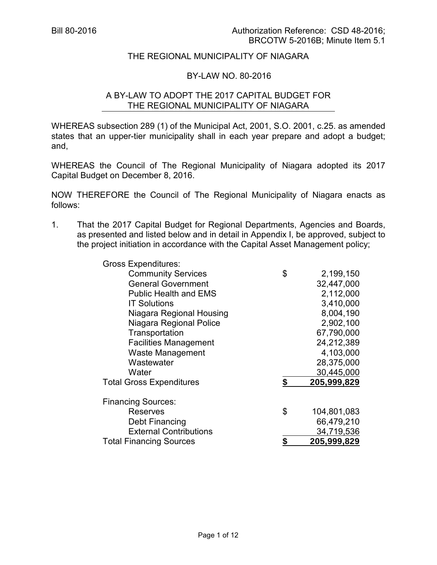# THE REGIONAL MUNICIPALITY OF NIAGARA

#### BY-LAW NO. 80-2016

# A BY-LAW TO ADOPT THE 2017 CAPITAL BUDGET FOR THE REGIONAL MUNICIPALITY OF NIAGARA

WHEREAS subsection 289 (1) of the Municipal Act, 2001, S.O. 2001, c.25. as amended states that an upper-tier municipality shall in each year prepare and adopt a budget; and,

WHEREAS the Council of The Regional Municipality of Niagara adopted its 2017 Capital Budget on December 8, 2016.

NOW THEREFORE the Council of The Regional Municipality of Niagara enacts as follows:

1. That the 2017 Capital Budget for Regional Departments, Agencies and Boards, as presented and listed below and in detail in Appendix I, be approved, subject to the project initiation in accordance with the Capital Asset Management policy;

| <b>Gross Expenditures:</b>      |                   |
|---------------------------------|-------------------|
| <b>Community Services</b>       | \$<br>2,199,150   |
| <b>General Government</b>       | 32,447,000        |
| <b>Public Health and EMS</b>    | 2,112,000         |
| <b>IT Solutions</b>             | 3,410,000         |
| Niagara Regional Housing        | 8,004,190         |
| Niagara Regional Police         | 2,902,100         |
| Transportation                  | 67,790,000        |
| <b>Facilities Management</b>    | 24,212,389        |
| <b>Waste Management</b>         | 4,103,000         |
| Wastewater                      | 28,375,000        |
| Water                           | 30,445,000        |
| <b>Total Gross Expenditures</b> | \$<br>205,999,829 |
| <b>Financing Sources:</b>       |                   |
| Reserves                        | \$<br>104,801,083 |
| Debt Financing                  | 66,479,210        |
| <b>External Contributions</b>   | 34,719,536        |
| <b>Total Financing Sources</b>  | 205,999,829       |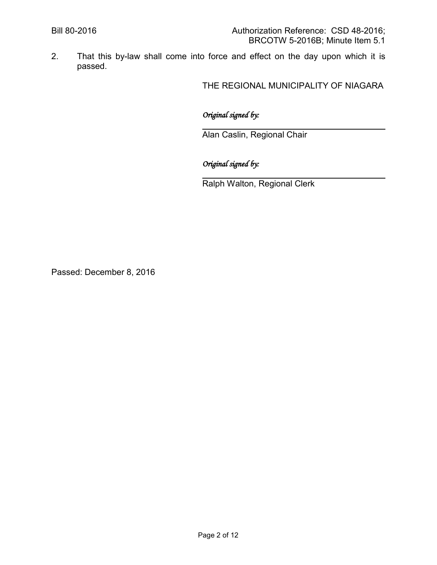2. That this by-law shall come into force and effect on the day upon which it is passed.

THE REGIONAL MUNICIPALITY OF NIAGARA

# *Original signed by:*

 $\ddot{\phantom{a}}$ Alan Caslin, Regional Chair

*Original signed by:*

 $\ddot{\phantom{a}}$ Ralph Walton, Regional Clerk

Passed: December 8, 2016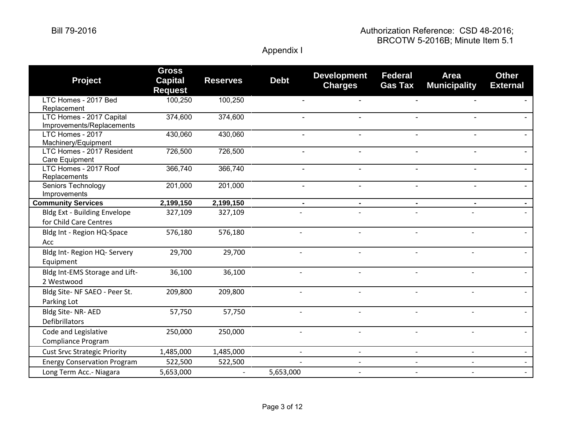| <b>Project</b>                                                | <b>Gross</b><br><b>Capital</b><br><b>Request</b> | <b>Reserves</b> | <b>Debt</b>              | <b>Development</b><br><b>Charges</b> | <b>Federal</b><br><b>Gas Tax</b> | <b>Area</b><br><b>Municipality</b> | <b>Other</b><br><b>External</b> |
|---------------------------------------------------------------|--------------------------------------------------|-----------------|--------------------------|--------------------------------------|----------------------------------|------------------------------------|---------------------------------|
| LTC Homes - 2017 Bed<br>Replacement                           | 100,250                                          | 100,250         |                          |                                      |                                  |                                    |                                 |
| LTC Homes - 2017 Capital<br>Improvements/Replacements         | 374,600                                          | 374,600         |                          |                                      |                                  |                                    |                                 |
| LTC Homes - 2017<br>Machinery/Equipment                       | 430,060                                          | 430,060         | $\blacksquare$           | $\sim$                               |                                  | $\blacksquare$                     |                                 |
| LTC Homes - 2017 Resident<br>Care Equipment                   | 726,500                                          | 726,500         | $\overline{\phantom{a}}$ | $\blacksquare$                       | $\blacksquare$                   | $\blacksquare$                     |                                 |
| LTC Homes - 2017 Roof<br>Replacements                         | 366,740                                          | 366,740         |                          | $\overline{a}$                       |                                  |                                    |                                 |
| Seniors Technology<br>Improvements                            | 201,000                                          | 201,000         |                          | $\overline{a}$                       |                                  |                                    |                                 |
| <b>Community Services</b>                                     | 2,199,150                                        | 2,199,150       |                          |                                      |                                  |                                    |                                 |
| <b>Bldg Ext - Building Envelope</b><br>for Child Care Centres | 327,109                                          | 327,109         |                          |                                      |                                  |                                    |                                 |
| Bldg Int - Region HQ-Space<br>Acc                             | 576,180                                          | 576,180         |                          |                                      |                                  |                                    |                                 |
| Bldg Int- Region HQ- Servery<br>Equipment                     | 29,700                                           | 29,700          |                          |                                      |                                  |                                    |                                 |
| Bldg Int-EMS Storage and Lift-<br>2 Westwood                  | 36,100                                           | 36,100          |                          |                                      |                                  |                                    |                                 |
| Bldg Site- NF SAEO - Peer St.<br>Parking Lot                  | 209,800                                          | 209,800         |                          |                                      |                                  |                                    |                                 |
| Bldg Site-NR-AED<br><b>Defibrillators</b>                     | 57,750                                           | 57,750          |                          |                                      |                                  |                                    |                                 |
| Code and Legislative<br><b>Compliance Program</b>             | 250,000                                          | 250,000         |                          |                                      |                                  |                                    |                                 |
| <b>Cust Srvc Strategic Priority</b>                           | 1,485,000                                        | 1,485,000       |                          |                                      | $\overline{\phantom{a}}$         |                                    |                                 |
| <b>Energy Conservation Program</b>                            | 522,500                                          | 522,500         |                          |                                      |                                  |                                    |                                 |
| Long Term Acc.- Niagara                                       | 5,653,000                                        |                 | 5,653,000                |                                      |                                  |                                    |                                 |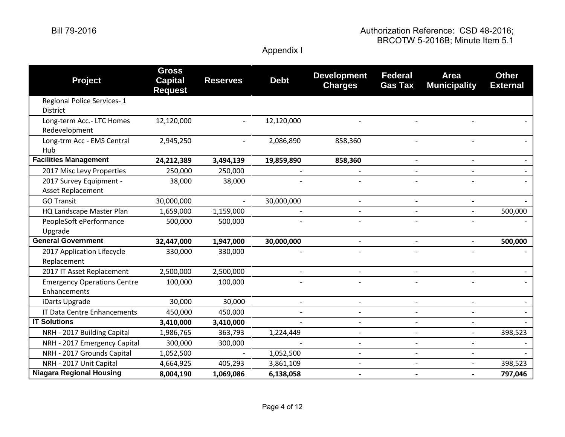| <b>Project</b>                                     | <b>Gross</b><br><b>Capital</b><br><b>Request</b> | <b>Reserves</b> | <b>Debt</b>              | <b>Development</b><br><b>Charges</b> | <b>Federal</b><br><b>Gas Tax</b> | <b>Area</b><br><b>Municipality</b> | <b>Other</b><br><b>External</b> |
|----------------------------------------------------|--------------------------------------------------|-----------------|--------------------------|--------------------------------------|----------------------------------|------------------------------------|---------------------------------|
| Regional Police Services-1<br>District             |                                                  |                 |                          |                                      |                                  |                                    |                                 |
| Long-term Acc.- LTC Homes<br>Redevelopment         | 12,120,000                                       | $\overline{a}$  | 12,120,000               |                                      |                                  |                                    |                                 |
| Long-trm Acc - EMS Central<br>Hub                  | 2,945,250                                        |                 | 2,086,890                | 858,360                              |                                  |                                    |                                 |
| <b>Facilities Management</b>                       | 24,212,389                                       | 3,494,139       | 19,859,890               | 858,360                              | $\blacksquare$                   | $\blacksquare$                     |                                 |
| 2017 Misc Levy Properties                          | 250,000                                          | 250,000         |                          |                                      |                                  |                                    |                                 |
| 2017 Survey Equipment -<br>Asset Replacement       | 38,000                                           | 38,000          |                          |                                      |                                  |                                    |                                 |
| <b>GO Transit</b>                                  | 30,000,000                                       |                 | 30,000,000               |                                      |                                  |                                    |                                 |
| HQ Landscape Master Plan                           | 1,659,000                                        | 1,159,000       |                          |                                      |                                  |                                    | 500,000                         |
| PeopleSoft ePerformance<br>Upgrade                 | 500,000                                          | 500,000         |                          |                                      |                                  |                                    |                                 |
| <b>General Government</b>                          | 32,447,000                                       | 1,947,000       | 30,000,000               | $\blacksquare$                       |                                  |                                    | 500,000                         |
| 2017 Application Lifecycle<br>Replacement          | 330,000                                          | 330,000         |                          |                                      |                                  |                                    |                                 |
| 2017 IT Asset Replacement                          | 2,500,000                                        | 2,500,000       |                          |                                      |                                  |                                    |                                 |
| <b>Emergency Operations Centre</b><br>Enhancements | 100,000                                          | 100,000         |                          |                                      |                                  |                                    |                                 |
| iDarts Upgrade                                     | 30,000                                           | 30,000          | $\overline{\phantom{a}}$ | $\overline{\phantom{a}}$             | $\overline{\phantom{a}}$         |                                    | $\overline{\phantom{0}}$        |
| IT Data Centre Enhancements                        | 450,000                                          | 450,000         |                          |                                      |                                  |                                    |                                 |
| <b>IT Solutions</b>                                | 3,410,000                                        | 3,410,000       |                          | $\overline{\phantom{a}}$             | $\overline{\phantom{a}}$         | $\blacksquare$                     |                                 |
| NRH - 2017 Building Capital                        | 1,986,765                                        | 363,793         | 1,224,449                | $\blacksquare$                       |                                  |                                    | 398,523                         |
| NRH - 2017 Emergency Capital                       | 300,000                                          | 300,000         |                          | $\overline{\phantom{a}}$             | $\overline{\phantom{a}}$         |                                    |                                 |
| NRH - 2017 Grounds Capital                         | 1,052,500                                        |                 | 1,052,500                | $\blacksquare$                       | $\blacksquare$                   |                                    |                                 |
| NRH - 2017 Unit Capital                            | 4,664,925                                        | 405,293         | 3,861,109                |                                      | $\overline{\phantom{a}}$         | $\overline{\phantom{a}}$           | 398,523                         |
| <b>Niagara Regional Housing</b>                    | 8,004,190                                        | 1,069,086       | 6,138,058                | $\blacksquare$                       |                                  | $\overline{\phantom{0}}$           | 797,046                         |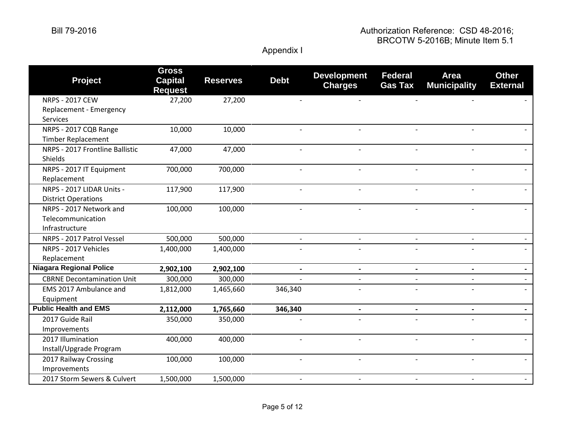### Bill 79-2016 Authorization Reference: CSD 48-2016; BRCOTW 5-2016B; Minute Item 5.1

| <b>Project</b>                    | <b>Gross</b><br><b>Capital</b><br><b>Request</b> | <b>Reserves</b> | <b>Debt</b>              | <b>Development</b><br><b>Charges</b> | <b>Federal</b><br><b>Gas Tax</b> | <b>Area</b><br><b>Municipality</b> | <b>Other</b><br><b>External</b> |
|-----------------------------------|--------------------------------------------------|-----------------|--------------------------|--------------------------------------|----------------------------------|------------------------------------|---------------------------------|
| <b>NRPS - 2017 CEW</b>            | 27,200                                           | 27,200          |                          |                                      |                                  |                                    |                                 |
| Replacement - Emergency           |                                                  |                 |                          |                                      |                                  |                                    |                                 |
| <b>Services</b>                   |                                                  |                 |                          |                                      |                                  |                                    |                                 |
| NRPS - 2017 CQB Range             | 10,000                                           | 10,000          |                          |                                      |                                  |                                    |                                 |
| <b>Timber Replacement</b>         |                                                  |                 |                          |                                      |                                  |                                    |                                 |
| NRPS - 2017 Frontline Ballistic   | 47,000                                           | 47,000          | $\blacksquare$           |                                      |                                  |                                    |                                 |
| Shields                           |                                                  |                 |                          |                                      |                                  |                                    |                                 |
| NRPS - 2017 IT Equipment          | 700,000                                          | 700,000         |                          |                                      |                                  |                                    |                                 |
| Replacement                       |                                                  |                 |                          |                                      |                                  |                                    |                                 |
| NRPS - 2017 LIDAR Units -         | 117,900                                          | 117,900         |                          |                                      |                                  |                                    |                                 |
| <b>District Operations</b>        |                                                  |                 |                          |                                      |                                  |                                    |                                 |
| NRPS - 2017 Network and           | 100,000                                          | 100,000         | $\overline{a}$           | $\blacksquare$                       |                                  |                                    |                                 |
| Telecommunication                 |                                                  |                 |                          |                                      |                                  |                                    |                                 |
| Infrastructure                    |                                                  |                 |                          |                                      |                                  |                                    |                                 |
| NRPS - 2017 Patrol Vessel         | 500,000                                          | 500,000         | $\overline{\phantom{a}}$ | $\blacksquare$                       |                                  |                                    |                                 |
| NRPS - 2017 Vehicles              | 1,400,000                                        | 1,400,000       |                          |                                      |                                  |                                    |                                 |
| Replacement                       |                                                  |                 |                          |                                      |                                  |                                    |                                 |
| <b>Niagara Regional Police</b>    | 2,902,100                                        | 2,902,100       | $\blacksquare$           |                                      |                                  |                                    |                                 |
| <b>CBRNE Decontamination Unit</b> | 300,000                                          | 300,000         |                          | $\overline{a}$                       |                                  |                                    |                                 |
| EMS 2017 Ambulance and            | 1,812,000                                        | 1,465,660       | 346,340                  |                                      |                                  |                                    |                                 |
| Equipment                         |                                                  |                 |                          |                                      |                                  |                                    |                                 |
| <b>Public Health and EMS</b>      | 2,112,000                                        | 1,765,660       | 346,340                  | $\overline{\phantom{a}}$             |                                  |                                    |                                 |
| 2017 Guide Rail                   | 350,000                                          | 350,000         |                          |                                      |                                  |                                    |                                 |
| Improvements                      |                                                  |                 |                          |                                      |                                  |                                    |                                 |
| 2017 Illumination                 | 400,000                                          | 400,000         |                          |                                      |                                  |                                    |                                 |
| Install/Upgrade Program           |                                                  |                 |                          |                                      |                                  |                                    |                                 |
| 2017 Railway Crossing             | 100,000                                          | 100,000         |                          |                                      |                                  |                                    |                                 |
| Improvements                      |                                                  |                 |                          |                                      |                                  |                                    |                                 |
| 2017 Storm Sewers & Culvert       | 1,500,000                                        | 1,500,000       | $\overline{\phantom{a}}$ | $\overline{\phantom{a}}$             |                                  |                                    |                                 |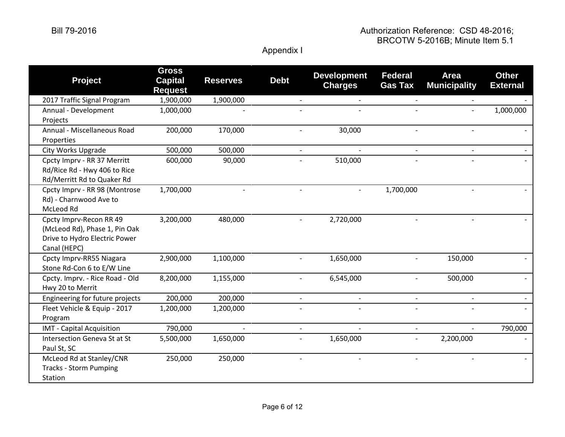| <b>Project</b>                                                                                            | <b>Gross</b><br><b>Capital</b><br><b>Request</b> | <b>Reserves</b> | <b>Debt</b>              | <b>Development</b><br><b>Charges</b> | <b>Federal</b><br><b>Gas Tax</b> | <b>Area</b><br><b>Municipality</b> | <b>Other</b><br><b>External</b> |
|-----------------------------------------------------------------------------------------------------------|--------------------------------------------------|-----------------|--------------------------|--------------------------------------|----------------------------------|------------------------------------|---------------------------------|
| 2017 Traffic Signal Program                                                                               | 1,900,000                                        | 1,900,000       |                          |                                      |                                  |                                    |                                 |
| Annual - Development<br>Projects                                                                          | 1,000,000                                        |                 |                          |                                      |                                  | $\overline{\phantom{a}}$           | 1,000,000                       |
| Annual - Miscellaneous Road<br>Properties                                                                 | 200,000                                          | 170,000         |                          | 30,000                               |                                  |                                    |                                 |
| City Works Upgrade                                                                                        | 500,000                                          | 500,000         | $\overline{\phantom{a}}$ |                                      |                                  |                                    |                                 |
| Cpcty Imprv - RR 37 Merritt<br>Rd/Rice Rd - Hwy 406 to Rice<br>Rd/Merritt Rd to Quaker Rd                 | 600,000                                          | 90,000          |                          | 510,000                              |                                  |                                    |                                 |
| Cpcty Imprv - RR 98 (Montrose<br>Rd) - Charnwood Ave to<br>McLeod Rd                                      | 1,700,000                                        |                 |                          |                                      | 1,700,000                        |                                    |                                 |
| Cpcty Imprv-Recon RR 49<br>(McLeod Rd), Phase 1, Pin Oak<br>Drive to Hydro Electric Power<br>Canal (HEPC) | 3,200,000                                        | 480,000         |                          | 2,720,000                            |                                  |                                    |                                 |
| Cpcty Imprv-RR55 Niagara<br>Stone Rd-Con 6 to E/W Line                                                    | 2,900,000                                        | 1,100,000       |                          | 1,650,000                            |                                  | 150,000                            |                                 |
| Cpcty. Imprv. - Rice Road - Old<br>Hwy 20 to Merrit                                                       | 8,200,000                                        | 1,155,000       |                          | 6,545,000                            |                                  | 500,000                            |                                 |
| Engineering for future projects                                                                           | 200,000                                          | 200,000         | $\overline{\phantom{a}}$ |                                      | $\overline{\phantom{a}}$         |                                    |                                 |
| Fleet Vehicle & Equip - 2017<br>Program                                                                   | 1,200,000                                        | 1,200,000       |                          |                                      |                                  |                                    |                                 |
| IMT - Capital Acquisition                                                                                 | 790,000                                          |                 | $\overline{\phantom{a}}$ |                                      |                                  |                                    | 790,000                         |
| Intersection Geneva St at St<br>Paul St, SC                                                               | 5,500,000                                        | 1,650,000       | $\overline{\phantom{a}}$ | 1,650,000                            | $\overline{\phantom{a}}$         | 2,200,000                          |                                 |
| McLeod Rd at Stanley/CNR<br><b>Tracks - Storm Pumping</b><br>Station                                      | 250,000                                          | 250,000         |                          |                                      |                                  |                                    |                                 |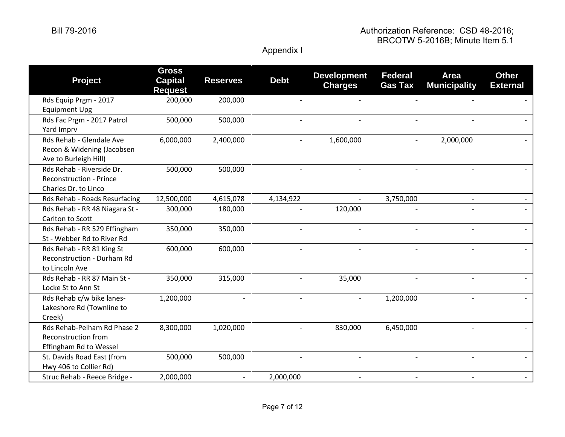| <b>Project</b>                                                                      | <b>Gross</b><br><b>Capital</b><br><b>Request</b> | <b>Reserves</b>          | <b>Debt</b>              | <b>Development</b><br><b>Charges</b> | <b>Federal</b><br><b>Gas Tax</b> | <b>Area</b><br><b>Municipality</b> | <b>Other</b><br><b>External</b> |
|-------------------------------------------------------------------------------------|--------------------------------------------------|--------------------------|--------------------------|--------------------------------------|----------------------------------|------------------------------------|---------------------------------|
| Rds Equip Prgm - 2017<br><b>Equipment Upg</b>                                       | 200,000                                          | 200,000                  |                          |                                      |                                  |                                    |                                 |
| Rds Fac Prgm - 2017 Patrol<br>Yard Imprv                                            | 500,000                                          | 500,000                  | $\overline{a}$           |                                      |                                  |                                    |                                 |
| Rds Rehab - Glendale Ave<br>Recon & Widening (Jacobsen<br>Ave to Burleigh Hill)     | 6,000,000                                        | 2,400,000                | $\overline{\phantom{a}}$ | 1,600,000                            |                                  | 2,000,000                          |                                 |
| Rds Rehab - Riverside Dr.<br><b>Reconstruction - Prince</b><br>Charles Dr. to Linco | 500,000                                          | 500,000                  | $\overline{\phantom{a}}$ | $\overline{\phantom{a}}$             |                                  |                                    |                                 |
| Rds Rehab - Roads Resurfacing                                                       | 12,500,000                                       | 4,615,078                | 4,134,922                |                                      | 3,750,000                        | $\overline{\phantom{0}}$           |                                 |
| Rds Rehab - RR 48 Niagara St -<br>Carlton to Scott                                  | 300,000                                          | 180,000                  |                          | 120,000                              |                                  |                                    |                                 |
| Rds Rehab - RR 529 Effingham<br>St - Webber Rd to River Rd                          | 350,000                                          | 350,000                  | $\overline{\phantom{a}}$ |                                      |                                  |                                    |                                 |
| Rds Rehab - RR 81 King St<br><b>Reconstruction - Durham Rd</b><br>to Lincoln Ave    | 600,000                                          | 600,000                  |                          |                                      |                                  |                                    |                                 |
| Rds Rehab - RR 87 Main St -<br>Locke St to Ann St                                   | 350,000                                          | 315,000                  |                          | 35,000                               |                                  |                                    |                                 |
| Rds Rehab c/w bike lanes-<br>Lakeshore Rd (Townline to<br>Creek)                    | 1,200,000                                        |                          |                          |                                      | 1,200,000                        |                                    |                                 |
| Rds Rehab-Pelham Rd Phase 2<br>Reconstruction from<br>Effingham Rd to Wessel        | 8,300,000                                        | 1,020,000                |                          | 830,000                              | 6,450,000                        |                                    |                                 |
| St. Davids Road East (from<br>Hwy 406 to Collier Rd)                                | 500,000                                          | 500,000                  |                          |                                      |                                  |                                    |                                 |
| Struc Rehab - Reece Bridge -                                                        | 2,000,000                                        | $\overline{\phantom{a}}$ | 2,000,000                | $\overline{a}$                       |                                  |                                    |                                 |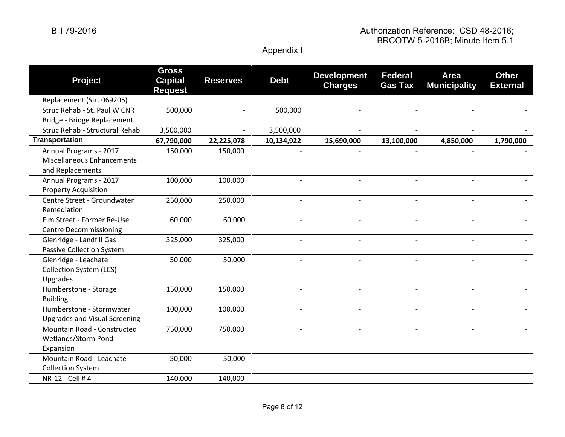| <b>Project</b>                                                                  | <b>Gross</b><br><b>Capital</b><br><b>Request</b> | <b>Reserves</b> | <b>Debt</b>    | <b>Development</b><br><b>Charges</b> | <b>Federal</b><br><b>Gas Tax</b> | <b>Area</b><br><b>Municipality</b> | <b>Other</b><br><b>External</b> |
|---------------------------------------------------------------------------------|--------------------------------------------------|-----------------|----------------|--------------------------------------|----------------------------------|------------------------------------|---------------------------------|
| Replacement (Str. 069205)                                                       |                                                  |                 |                |                                      |                                  |                                    |                                 |
| Struc Rehab - St. Paul W CNR                                                    | 500,000                                          |                 | 500,000        |                                      |                                  |                                    |                                 |
| Bridge - Bridge Replacement                                                     |                                                  |                 |                |                                      |                                  |                                    |                                 |
| Struc Rehab - Structural Rehab                                                  | 3,500,000                                        |                 | 3,500,000      |                                      |                                  |                                    |                                 |
| <b>Transportation</b>                                                           | 67,790,000                                       | 22,225,078      | 10,134,922     | 15,690,000                           | 13,100,000                       | 4,850,000                          | 1,790,000                       |
| Annual Programs - 2017<br><b>Miscellaneous Enhancements</b><br>and Replacements | 150,000                                          | 150,000         |                |                                      |                                  |                                    |                                 |
| Annual Programs - 2017<br><b>Property Acquisition</b>                           | 100,000                                          | 100,000         |                |                                      |                                  |                                    |                                 |
| Centre Street - Groundwater<br>Remediation                                      | 250,000                                          | 250,000         | $\overline{a}$ |                                      |                                  |                                    |                                 |
| Elm Street - Former Re-Use<br><b>Centre Decommissioning</b>                     | 60,000                                           | 60,000          | $\overline{a}$ | $\overline{a}$                       |                                  |                                    |                                 |
| Glenridge - Landfill Gas<br><b>Passive Collection System</b>                    | 325,000                                          | 325,000         |                |                                      |                                  |                                    |                                 |
| Glenridge - Leachate<br><b>Collection System (LCS)</b><br>Upgrades              | 50,000                                           | 50,000          | $\overline{a}$ | $\overline{a}$                       |                                  |                                    |                                 |
| Humberstone - Storage<br><b>Building</b>                                        | 150,000                                          | 150,000         | $\overline{a}$ |                                      |                                  |                                    |                                 |
| Humberstone - Stormwater<br><b>Upgrades and Visual Screening</b>                | 100,000                                          | 100,000         |                |                                      |                                  |                                    |                                 |
| Mountain Road - Constructed<br>Wetlands/Storm Pond<br>Expansion                 | 750,000                                          | 750,000         |                |                                      |                                  |                                    |                                 |
| Mountain Road - Leachate<br><b>Collection System</b>                            | 50,000                                           | 50,000          |                |                                      |                                  |                                    |                                 |
| NR-12 - Cell # 4                                                                | 140,000                                          | 140,000         | $\overline{a}$ | $\overline{a}$                       |                                  |                                    |                                 |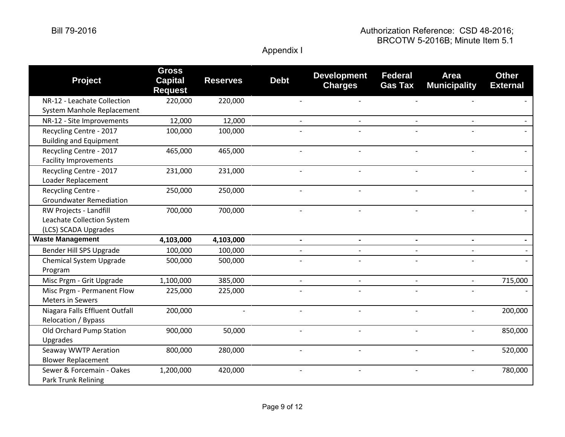| <b>Project</b>                                                               | <b>Gross</b><br><b>Capital</b><br><b>Request</b> | <b>Reserves</b> | <b>Debt</b>              | <b>Development</b><br><b>Charges</b> | <b>Federal</b><br><b>Gas Tax</b> | <b>Area</b><br><b>Municipality</b> | <b>Other</b><br><b>External</b> |
|------------------------------------------------------------------------------|--------------------------------------------------|-----------------|--------------------------|--------------------------------------|----------------------------------|------------------------------------|---------------------------------|
| NR-12 - Leachate Collection<br>System Manhole Replacement                    | 220,000                                          | 220,000         |                          |                                      |                                  |                                    |                                 |
| NR-12 - Site Improvements                                                    | 12,000                                           | 12,000          | $\overline{\phantom{a}}$ |                                      |                                  |                                    |                                 |
| Recycling Centre - 2017<br><b>Building and Equipment</b>                     | 100,000                                          | 100,000         |                          |                                      |                                  |                                    |                                 |
| Recycling Centre - 2017<br><b>Facility Improvements</b>                      | 465,000                                          | 465,000         | $\overline{\phantom{a}}$ |                                      |                                  |                                    |                                 |
| Recycling Centre - 2017<br>Loader Replacement                                | 231,000                                          | 231,000         | $\overline{a}$           | $\overline{a}$                       |                                  |                                    |                                 |
| Recycling Centre -<br><b>Groundwater Remediation</b>                         | 250,000                                          | 250,000         |                          |                                      |                                  |                                    |                                 |
| RW Projects - Landfill<br>Leachate Collection System<br>(LCS) SCADA Upgrades | 700,000                                          | 700,000         |                          |                                      |                                  |                                    |                                 |
| <b>Waste Management</b>                                                      | 4,103,000                                        | 4,103,000       |                          |                                      |                                  |                                    |                                 |
| Bender Hill SPS Upgrade                                                      | 100,000                                          | 100,000         |                          |                                      |                                  |                                    |                                 |
| <b>Chemical System Upgrade</b><br>Program                                    | 500,000                                          | 500,000         |                          |                                      |                                  |                                    |                                 |
| Misc Prgm - Grit Upgrade                                                     | 1,100,000                                        | 385,000         | $\overline{a}$           | $\overline{\phantom{a}}$             |                                  | $\overline{a}$                     | 715,000                         |
| Misc Prgm - Permanent Flow<br><b>Meters in Sewers</b>                        | 225,000                                          | 225,000         |                          |                                      |                                  |                                    |                                 |
| Niagara Falls Effluent Outfall<br>Relocation / Bypass                        | 200,000                                          |                 |                          |                                      |                                  |                                    | 200,000                         |
| Old Orchard Pump Station<br>Upgrades                                         | 900,000                                          | 50,000          |                          |                                      |                                  |                                    | 850,000                         |
| Seaway WWTP Aeration<br><b>Blower Replacement</b>                            | 800,000                                          | 280,000         |                          |                                      |                                  |                                    | 520,000                         |
| Sewer & Forcemain - Oakes<br>Park Trunk Relining                             | 1,200,000                                        | 420,000         |                          |                                      |                                  |                                    | 780,000                         |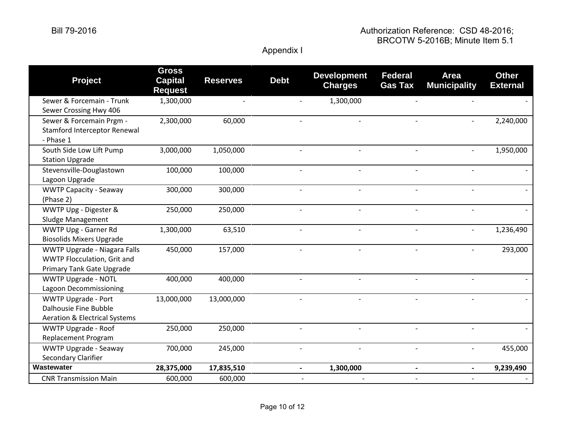### Bill 79-2016 Authorization Reference: CSD 48-2016; BRCOTW 5-2016B; Minute Item 5.1

| <b>Project</b>                                                                                  | <b>Gross</b><br><b>Capital</b><br><b>Request</b> | <b>Reserves</b> | <b>Debt</b>              | <b>Development</b><br><b>Charges</b> | <b>Federal</b><br><b>Gas Tax</b> | <b>Area</b><br><b>Municipality</b> | <b>Other</b><br><b>External</b> |
|-------------------------------------------------------------------------------------------------|--------------------------------------------------|-----------------|--------------------------|--------------------------------------|----------------------------------|------------------------------------|---------------------------------|
| Sewer & Forcemain - Trunk<br>Sewer Crossing Hwy 406                                             | 1,300,000                                        |                 | $\blacksquare$           | 1,300,000                            |                                  |                                    |                                 |
| Sewer & Forcemain Prgm -<br><b>Stamford Interceptor Renewal</b><br>- Phase 1                    | 2,300,000                                        | 60,000          |                          |                                      |                                  |                                    | 2,240,000                       |
| South Side Low Lift Pump<br><b>Station Upgrade</b>                                              | 3,000,000                                        | 1,050,000       |                          |                                      |                                  |                                    | 1,950,000                       |
| Stevensville-Douglastown<br>Lagoon Upgrade                                                      | 100,000                                          | 100,000         | $\blacksquare$           | $\overline{a}$                       |                                  |                                    |                                 |
| <b>WWTP Capacity - Seaway</b><br>(Phase 2)                                                      | 300,000                                          | 300,000         |                          |                                      |                                  |                                    |                                 |
| WWTP Upg - Digester &<br>Sludge Management                                                      | 250,000                                          | 250,000         | $\overline{\phantom{a}}$ |                                      |                                  |                                    |                                 |
| WWTP Upg - Garner Rd<br><b>Biosolids Mixers Upgrade</b>                                         | 1,300,000                                        | 63,510          | $\overline{\phantom{a}}$ | $\blacksquare$                       | $\overline{\phantom{a}}$         | $\overline{\phantom{a}}$           | 1,236,490                       |
| WWTP Upgrade - Niagara Falls<br>WWTP Flocculation, Grit and<br>Primary Tank Gate Upgrade        | 450,000                                          | 157,000         |                          |                                      |                                  |                                    | 293,000                         |
| <b>WWTP Upgrade - NOTL</b><br>Lagoon Decommissioning                                            | 400,000                                          | 400,000         |                          |                                      |                                  |                                    |                                 |
| <b>WWTP Upgrade - Port</b><br>Dalhousie Fine Bubble<br><b>Aeration &amp; Electrical Systems</b> | 13,000,000                                       | 13,000,000      |                          |                                      |                                  |                                    |                                 |
| <b>WWTP Upgrade - Roof</b><br><b>Replacement Program</b>                                        | 250,000                                          | 250,000         |                          |                                      |                                  |                                    |                                 |
| <b>WWTP Upgrade - Seaway</b><br>Secondary Clarifier                                             | 700,000                                          | 245,000         | $\overline{a}$           |                                      |                                  |                                    | 455,000                         |
| Wastewater                                                                                      | 28,375,000                                       | 17,835,510      | $\blacksquare$           | 1,300,000                            |                                  |                                    | 9,239,490                       |
| <b>CNR Transmission Main</b>                                                                    | 600,000                                          | 600,000         |                          |                                      |                                  |                                    |                                 |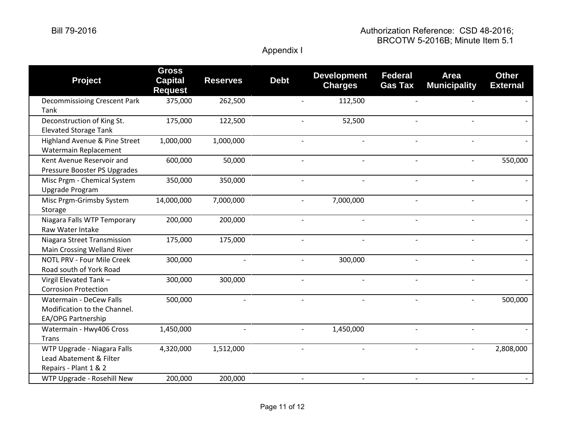| <b>Project</b>                                                                  | <b>Gross</b><br><b>Capital</b><br><b>Request</b> | <b>Reserves</b> | <b>Debt</b> | <b>Development</b><br><b>Charges</b> | <b>Federal</b><br><b>Gas Tax</b> | <b>Area</b><br><b>Municipality</b> | <b>Other</b><br><b>External</b> |
|---------------------------------------------------------------------------------|--------------------------------------------------|-----------------|-------------|--------------------------------------|----------------------------------|------------------------------------|---------------------------------|
| <b>Decommissioing Crescent Park</b><br>Tank                                     | 375,000                                          | 262,500         |             | 112,500                              |                                  |                                    |                                 |
| Deconstruction of King St.<br><b>Elevated Storage Tank</b>                      | 175,000                                          | 122,500         |             | 52,500                               |                                  |                                    |                                 |
| Highland Avenue & Pine Street<br>Watermain Replacement                          | 1,000,000                                        | 1,000,000       |             | $\blacksquare$                       | $\overline{a}$                   |                                    |                                 |
| Kent Avenue Reservoir and<br>Pressure Booster PS Upgrades                       | 600,000                                          | 50,000          |             | $\overline{\phantom{a}}$             | $\overline{\phantom{0}}$         |                                    | 550,000                         |
| Misc Prgm - Chemical System<br>Upgrade Program                                  | 350,000                                          | 350,000         |             |                                      |                                  |                                    |                                 |
| Misc Prgm-Grimsby System<br>Storage                                             | 14,000,000                                       | 7,000,000       |             | 7,000,000<br>$\blacksquare$          | $\overline{\phantom{0}}$         |                                    |                                 |
| Niagara Falls WTP Temporary<br>Raw Water Intake                                 | 200,000                                          | 200,000         |             | $\overline{\phantom{a}}$             | $\overline{\phantom{a}}$         |                                    |                                 |
| Niagara Street Transmission<br>Main Crossing Welland River                      | 175,000                                          | 175,000         |             |                                      |                                  |                                    |                                 |
| NOTL PRV - Four Mile Creek<br>Road south of York Road                           | 300,000                                          |                 |             | 300,000                              |                                  |                                    |                                 |
| Virgil Elevated Tank -<br><b>Corrosion Protection</b>                           | 300,000                                          | 300,000         |             | $\overline{\phantom{a}}$             | $\overline{\phantom{a}}$         |                                    |                                 |
| Watermain - DeCew Falls<br>Modification to the Channel.<br>EA/OPG Partnership   | 500,000                                          |                 |             |                                      |                                  |                                    | 500,000                         |
| Watermain - Hwy406 Cross<br><b>Trans</b>                                        | 1,450,000                                        |                 |             | 1,450,000                            |                                  |                                    |                                 |
| WTP Upgrade - Niagara Falls<br>Lead Abatement & Filter<br>Repairs - Plant 1 & 2 | 4,320,000                                        | 1,512,000       |             |                                      |                                  |                                    | 2,808,000                       |
| WTP Upgrade - Rosehill New                                                      | 200,000                                          | 200,000         |             |                                      |                                  |                                    |                                 |